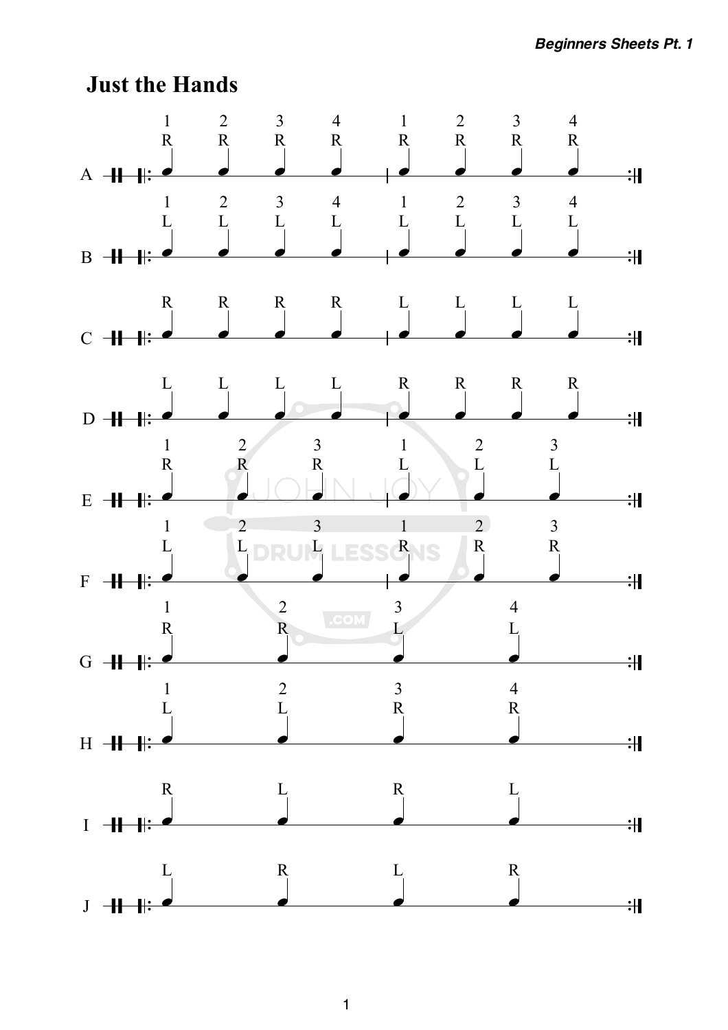

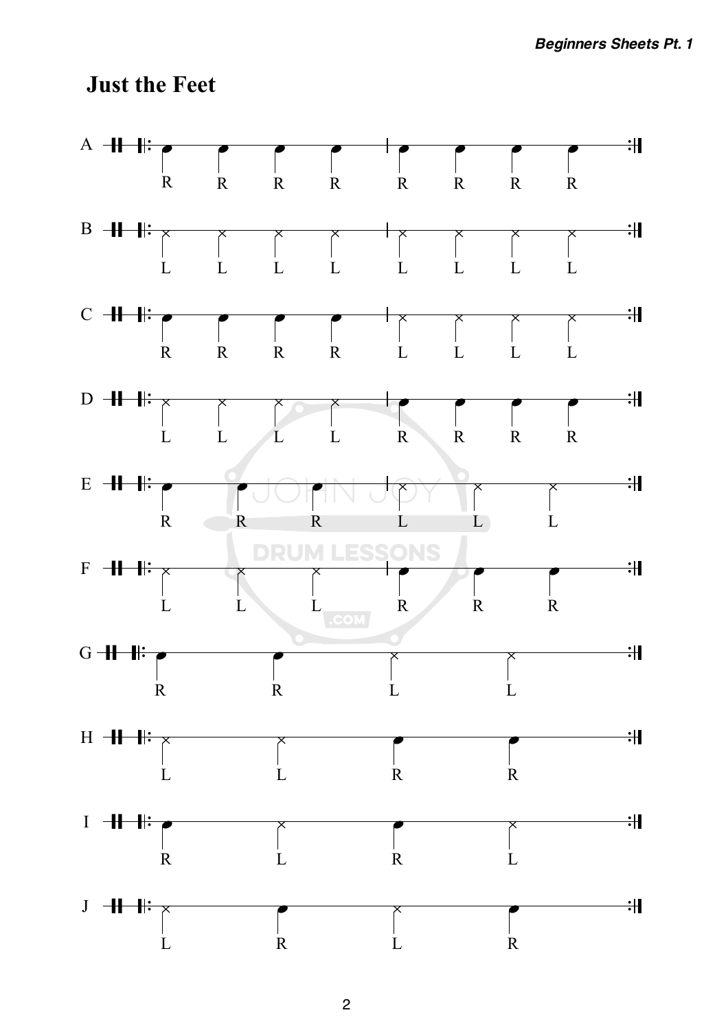## **Just the Feet**

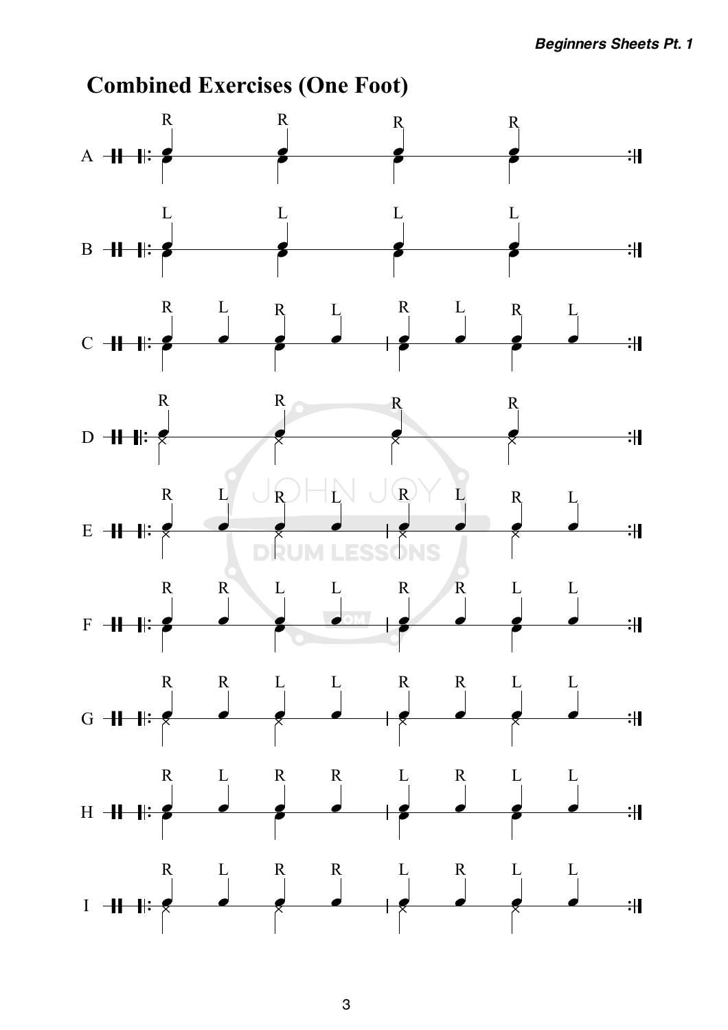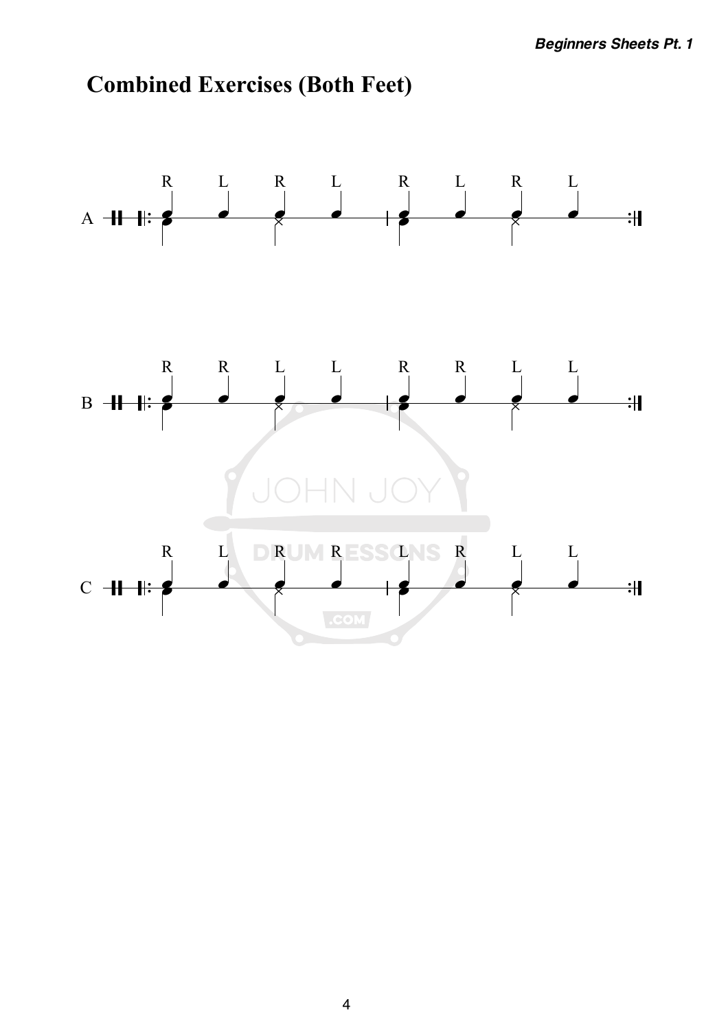

## **Combined Exercises (Both Feet)**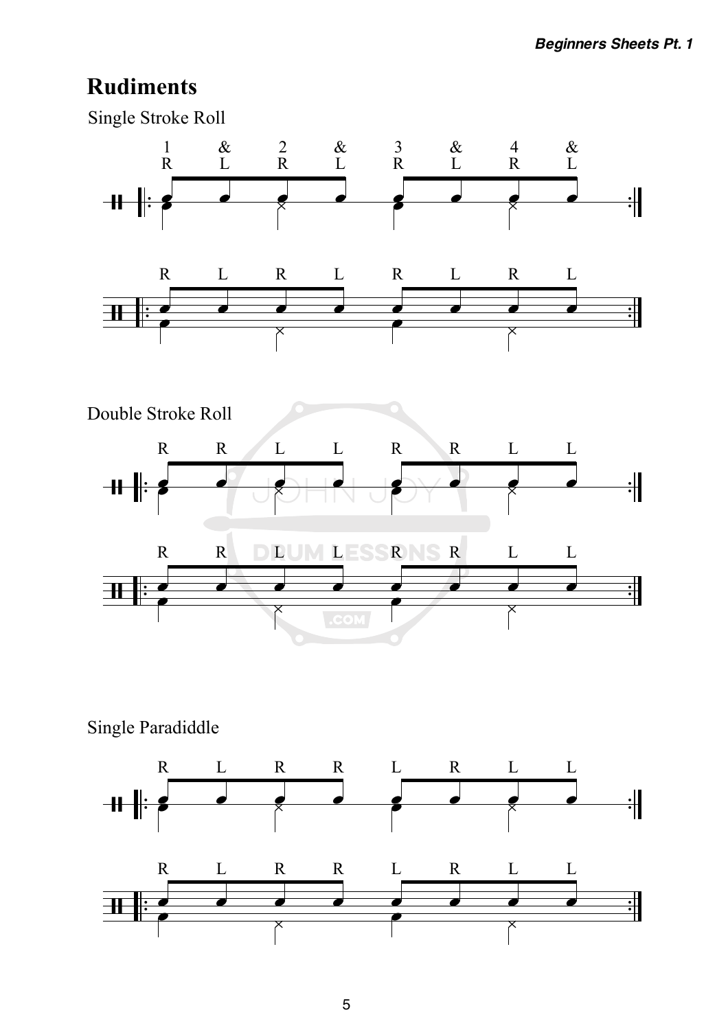## **Rudiments**



Single Paradiddle